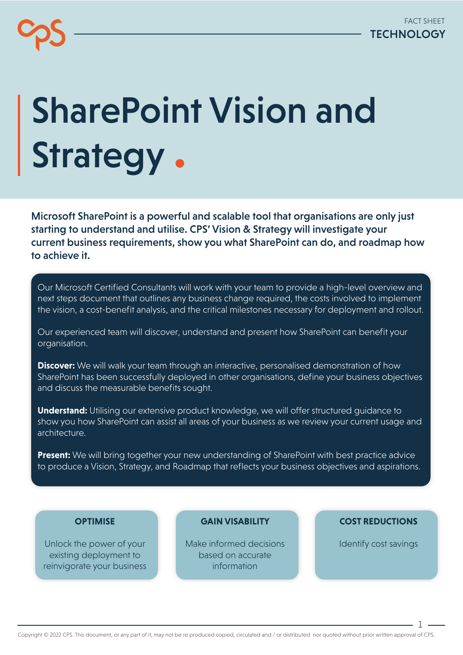# SharePoint Vision and Strategy.

Microsoft SharePoint is a powerful and scalable tool that organisations are only just starting to understand and utilise. CPS' Vision & Strategy will investigate your current business requirements, show you what SharePoint can do, and roadmap how to achieve it.

Our Microsoft Certified Consultants will work with your team to provide a high-level overview and next steps document that outlines any business change required, the costs involved to implement the vision, a cost-benefit analysis, and the critical milestones necessary for deployment and rollout.

Our experienced team will discover, understand and present how SharePoint can benefit your organisation.

**Discover:** We will walk your team through an interactive, personalised demonstration of how SharePoint has been successfully deployed in other organisations, define your business objectives and discuss the measurable benefits sought.

**Understand:** Utilising our extensive product knowledge, we will offer structured guidance to show you how SharePoint can assist all areas of your business as we review your current usage and architecture.

**Present:** We will bring together your new understanding of SharePoint with best practice advice to produce a Vision, Strategy, and Roadmap that reflects your business objectives and aspirations.

#### **OPTIMISE**

Unlock the power of your existing deployment to reinvigorate your business **GAIN VISABILITY**

Make informed decisions based on accurate information

#### **COST REDUCTIONS**

Identify cost savings